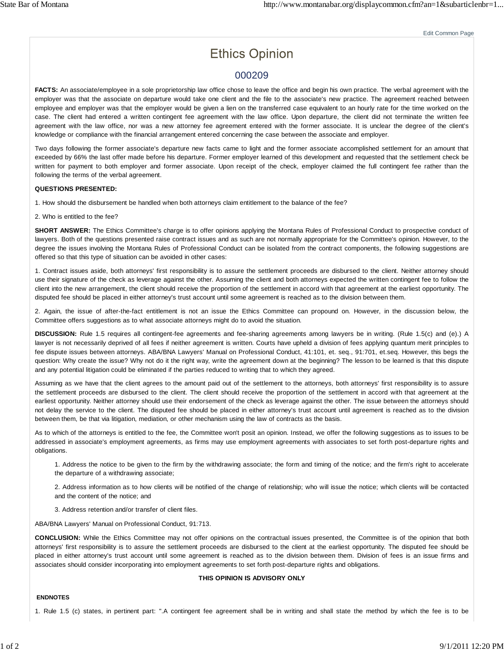# **Ethics Opinion**

## 000209

FACTS: An associate/employee in a sole proprietorship law office chose to leave the office and begin his own practice. The verbal agreement with the employer was that the associate on departure would take one client and the file to the associate's new practice. The agreement reached between employee and employer was that the employer would be given a lien on the transferred case equivalent to an hourly rate for the time worked on the case. The client had entered a written contingent fee agreement with the law office. Upon departure, the client did not terminate the written fee agreement with the law office, nor was a new attorney fee agreement entered with the former associate. It is unclear the degree of the client's knowledge or compliance with the financial arrangement entered concerning the case between the associate and employer.

Two days following the former associate's departure new facts came to light and the former associate accomplished settlement for an amount that exceeded by 66% the last offer made before his departure. Former employer learned of this development and requested that the settlement check be written for payment to both employer and former associate. Upon receipt of the check, employer claimed the full contingent fee rather than the following the terms of the verbal agreement.

#### **QUESTIONS PRESENTED:**

1. How should the disbursement be handled when both attorneys claim entitlement to the balance of the fee?

2. Who is entitled to the fee?

**SHORT ANSWER:** The Ethics Committee's charge is to offer opinions applying the Montana Rules of Professional Conduct to prospective conduct of lawyers. Both of the questions presented raise contract issues and as such are not normally appropriate for the Committee's opinion. However, to the degree the issues involving the Montana Rules of Professional Conduct can be isolated from the contract components, the following suggestions are offered so that this type of situation can be avoided in other cases:

1. Contract issues aside, both attorneys' first responsibility is to assure the settlement proceeds are disbursed to the client. Neither attorney should use their signature of the check as leverage against the other. Assuming the client and both attorneys expected the written contingent fee to follow the client into the new arrangement, the client should receive the proportion of the settlement in accord with that agreement at the earliest opportunity. The disputed fee should be placed in either attorney's trust account until some agreement is reached as to the division between them.

2. Again, the issue of after-the-fact entitlement is not an issue the Ethics Committee can propound on. However, in the discussion below, the Committee offers suggestions as to what associate attorneys might do to avoid the situation.

**DISCUSSION:** Rule 1.5 requires all contingent-fee agreements and fee-sharing agreements among lawyers be in writing. (Rule 1.5(c) and (e).) A lawyer is not necessarily deprived of all fees if neither agreement is written. Courts have upheld a division of fees applying quantum merit principles to fee dispute issues between attorneys. ABA/BNA Lawyers' Manual on Professional Conduct, 41:101, et. seq., 91:701, et.seq. However, this begs the question: Why create the issue? Why not do it the right way, write the agreement down at the beginning? The lesson to be learned is that this dispute and any potential litigation could be eliminated if the parties reduced to writing that to which they agreed.

Assuming as we have that the client agrees to the amount paid out of the settlement to the attorneys, both attorneys' first responsibility is to assure the settlement proceeds are disbursed to the client. The client should receive the proportion of the settlement in accord with that agreement at the earliest opportunity. Neither attorney should use their endorsement of the check as leverage against the other. The issue between the attorneys should not delay the service to the client. The disputed fee should be placed in either attorney's trust account until agreement is reached as to the division between them, be that via litigation, mediation, or other mechanism using the law of contracts as the basis.

As to which of the attorneys is entitled to the fee, the Committee won't posit an opinion. Instead, we offer the following suggestions as to issues to be addressed in associate's employment agreements, as firms may use employment agreements with associates to set forth post-departure rights and obligations.

1. Address the notice to be given to the firm by the withdrawing associate; the form and timing of the notice; and the firm's right to accelerate the departure of a withdrawing associate;

2. Address information as to how clients will be notified of the change of relationship; who will issue the notice; which clients will be contacted and the content of the notice; and

3. Address retention and/or transfer of client files.

ABA/BNA Lawyers' Manual on Professional Conduct, 91:713.

**CONCLUSION:** While the Ethics Committee may not offer opinions on the contractual issues presented, the Committee is of the opinion that both attorneys' first responsibility is to assure the settlement proceeds are disbursed to the client at the earliest opportunity. The disputed fee should be placed in either attorney's trust account until some agreement is reached as to the division between them. Division of fees is an issue firms and associates should consider incorporating into employment agreements to set forth post-departure rights and obligations.

### **THIS OPINION IS ADVISORY ONLY**

#### **ENDNOTES**

1. Rule 1.5 (c) states, in pertinent part: ".A contingent fee agreement shall be in writing and shall state the method by which the fee is to be